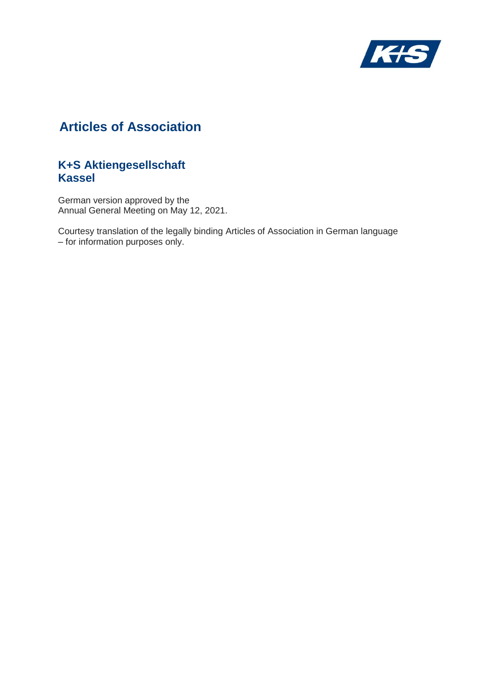

# **Articles of Association**

## **K+S Aktiengesellschaft Kassel**

German version approved by the Annual General Meeting on May 12, 2021.

Courtesy translation of the legally binding Articles of Association in German language – for information purposes only.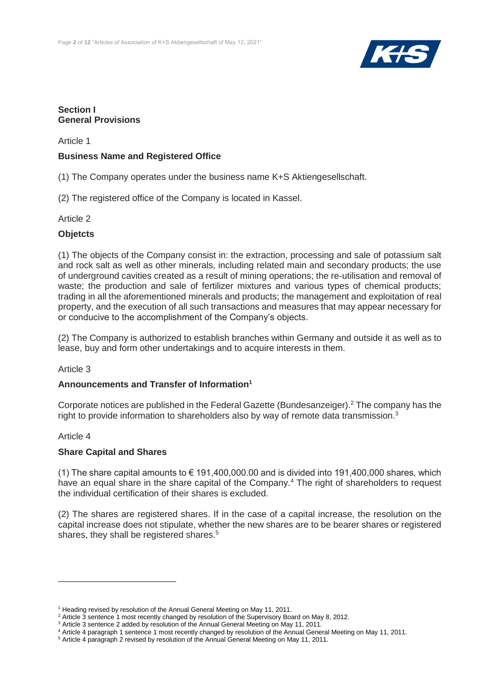

## **Section I General Provisions**

Article 1

## **Business Name and Registered Office**

(1) The Company operates under the business name K+S Aktiengesellschaft.

(2) The registered office of the Company is located in Kassel.

## Article 2

## **Objetcts**

(1) The objects of the Company consist in: the extraction, processing and sale of potassium salt and rock salt as well as other minerals, including related main and secondary products; the use of underground cavities created as a result of mining operations; the re-utilisation and removal of waste; the production and sale of fertilizer mixtures and various types of chemical products; trading in all the aforementioned minerals and products; the management and exploitation of real property, and the execution of all such transactions and measures that may appear necessary for or conducive to the accomplishment of the Company's objects.

(2) The Company is authorized to establish branches within Germany and outside it as well as to lease, buy and form other undertakings and to acquire interests in them.

## Article 3

## **Announcements and Transfer of Information<sup>1</sup>**

Corporate notices are published in the Federal Gazette (Bundesanzeiger).<sup>2</sup> The company has the right to provide information to shareholders also by way of remote data transmission.<sup>3</sup>

## Article 4

## **Share Capital and Shares**

(1) The share capital amounts to  $\epsilon$  191,400,000,00 and is divided into 191,400,000 shares, which have an equal share in the share capital of the Company.<sup>4</sup> The right of shareholders to request the individual certification of their shares is excluded.

(2) The shares are registered shares. If in the case of a capital increase, the resolution on the capital increase does not stipulate, whether the new shares are to be bearer shares or registered shares, they shall be registered shares.<sup>5</sup>

<sup>&</sup>lt;sup>1</sup> Heading revised by resolution of the Annual General Meeting on May 11, 2011.

<sup>&</sup>lt;sup>2</sup> Article 3 sentence 1 most recently changed by resolution of the Supervisory Board on May 8, 2012.

<sup>&</sup>lt;sup>3</sup> Article 3 sentence 2 added by resolution of the Annual General Meeting on May 11, 2011.

<sup>4</sup> Article 4 paragraph 1 sentence 1 most recently changed by resolution of the Annual General Meeting on May 11, 2011.

<sup>&</sup>lt;sup>5</sup> Article 4 paragraph 2 revised by resolution of the Annual General Meeting on May 11, 2011.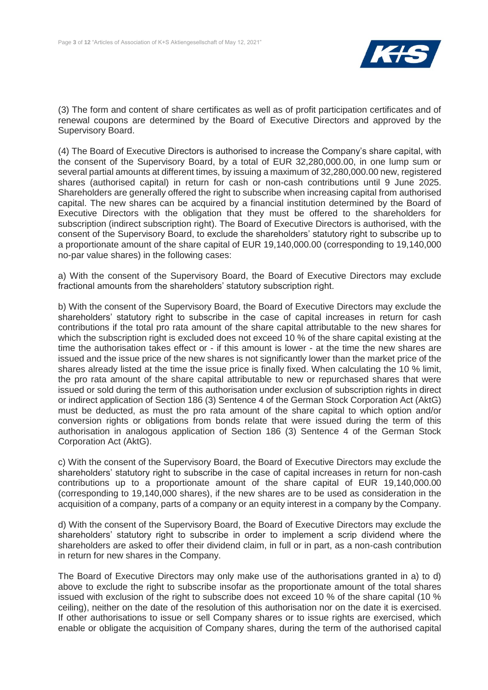

(3) The form and content of share certificates as well as of profit participation certificates and of renewal coupons are determined by the Board of Executive Directors and approved by the Supervisory Board.

(4) The Board of Executive Directors is authorised to increase the Company's share capital, with the consent of the Supervisory Board, by a total of EUR 32,280,000.00, in one lump sum or several partial amounts at different times, by issuing a maximum of 32,280,000.00 new, registered shares (authorised capital) in return for cash or non-cash contributions until 9 June 2025. Shareholders are generally offered the right to subscribe when increasing capital from authorised capital. The new shares can be acquired by a financial institution determined by the Board of Executive Directors with the obligation that they must be offered to the shareholders for subscription (indirect subscription right). The Board of Executive Directors is authorised, with the consent of the Supervisory Board, to exclude the shareholders' statutory right to subscribe up to a proportionate amount of the share capital of EUR 19,140,000.00 (corresponding to 19,140,000 no-par value shares) in the following cases:

a) With the consent of the Supervisory Board, the Board of Executive Directors may exclude fractional amounts from the shareholders' statutory subscription right.

b) With the consent of the Supervisory Board, the Board of Executive Directors may exclude the shareholders' statutory right to subscribe in the case of capital increases in return for cash contributions if the total pro rata amount of the share capital attributable to the new shares for which the subscription right is excluded does not exceed 10 % of the share capital existing at the time the authorisation takes effect or - if this amount is lower - at the time the new shares are issued and the issue price of the new shares is not significantly lower than the market price of the shares already listed at the time the issue price is finally fixed. When calculating the 10 % limit, the pro rata amount of the share capital attributable to new or repurchased shares that were issued or sold during the term of this authorisation under exclusion of subscription rights in direct or indirect application of Section 186 (3) Sentence 4 of the German Stock Corporation Act (AktG) must be deducted, as must the pro rata amount of the share capital to which option and/or conversion rights or obligations from bonds relate that were issued during the term of this authorisation in analogous application of Section 186 (3) Sentence 4 of the German Stock Corporation Act (AktG).

c) With the consent of the Supervisory Board, the Board of Executive Directors may exclude the shareholders' statutory right to subscribe in the case of capital increases in return for non-cash contributions up to a proportionate amount of the share capital of EUR 19,140,000.00 (corresponding to 19,140,000 shares), if the new shares are to be used as consideration in the acquisition of a company, parts of a company or an equity interest in a company by the Company.

d) With the consent of the Supervisory Board, the Board of Executive Directors may exclude the shareholders' statutory right to subscribe in order to implement a scrip dividend where the shareholders are asked to offer their dividend claim, in full or in part, as a non-cash contribution in return for new shares in the Company.

The Board of Executive Directors may only make use of the authorisations granted in a) to d) above to exclude the right to subscribe insofar as the proportionate amount of the total shares issued with exclusion of the right to subscribe does not exceed 10 % of the share capital (10 % ceiling), neither on the date of the resolution of this authorisation nor on the date it is exercised. If other authorisations to issue or sell Company shares or to issue rights are exercised, which enable or obligate the acquisition of Company shares, during the term of the authorised capital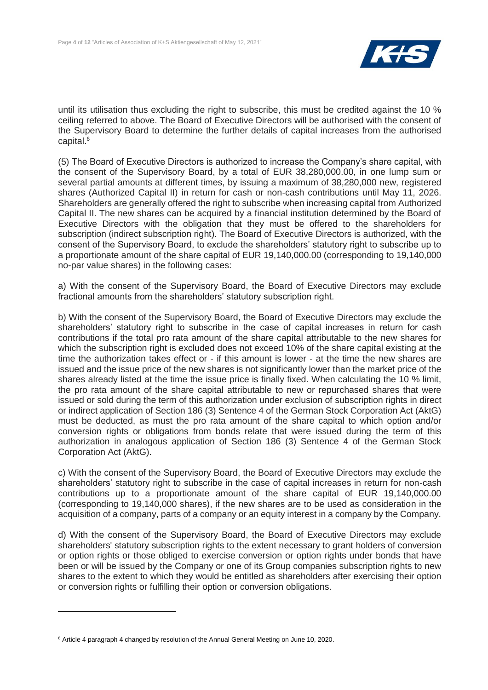

until its utilisation thus excluding the right to subscribe, this must be credited against the 10 % ceiling referred to above. The Board of Executive Directors will be authorised with the consent of the Supervisory Board to determine the further details of capital increases from the authorised capital. 6

(5) The Board of Executive Directors is authorized to increase the Company's share capital, with the consent of the Supervisory Board, by a total of EUR 38,280,000.00, in one lump sum or several partial amounts at different times, by issuing a maximum of 38,280,000 new, registered shares (Authorized Capital II) in return for cash or non-cash contributions until May 11, 2026. Shareholders are generally offered the right to subscribe when increasing capital from Authorized Capital II. The new shares can be acquired by a financial institution determined by the Board of Executive Directors with the obligation that they must be offered to the shareholders for subscription (indirect subscription right). The Board of Executive Directors is authorized, with the consent of the Supervisory Board, to exclude the shareholders' statutory right to subscribe up to a proportionate amount of the share capital of EUR 19,140,000.00 (corresponding to 19,140,000 no-par value shares) in the following cases:

a) With the consent of the Supervisory Board, the Board of Executive Directors may exclude fractional amounts from the shareholders' statutory subscription right.

b) With the consent of the Supervisory Board, the Board of Executive Directors may exclude the shareholders' statutory right to subscribe in the case of capital increases in return for cash contributions if the total pro rata amount of the share capital attributable to the new shares for which the subscription right is excluded does not exceed 10% of the share capital existing at the time the authorization takes effect or - if this amount is lower - at the time the new shares are issued and the issue price of the new shares is not significantly lower than the market price of the shares already listed at the time the issue price is finally fixed. When calculating the 10 % limit, the pro rata amount of the share capital attributable to new or repurchased shares that were issued or sold during the term of this authorization under exclusion of subscription rights in direct or indirect application of Section 186 (3) Sentence 4 of the German Stock Corporation Act (AktG) must be deducted, as must the pro rata amount of the share capital to which option and/or conversion rights or obligations from bonds relate that were issued during the term of this authorization in analogous application of Section 186 (3) Sentence 4 of the German Stock Corporation Act (AktG).

c) With the consent of the Supervisory Board, the Board of Executive Directors may exclude the shareholders' statutory right to subscribe in the case of capital increases in return for non-cash contributions up to a proportionate amount of the share capital of EUR 19,140,000.00 (corresponding to 19,140,000 shares), if the new shares are to be used as consideration in the acquisition of a company, parts of a company or an equity interest in a company by the Company.

d) With the consent of the Supervisory Board, the Board of Executive Directors may exclude shareholders' statutory subscription rights to the extent necessary to grant holders of conversion or option rights or those obliged to exercise conversion or option rights under bonds that have been or will be issued by the Company or one of its Group companies subscription rights to new shares to the extent to which they would be entitled as shareholders after exercising their option or conversion rights or fulfilling their option or conversion obligations.

<sup>6</sup> Article 4 paragraph 4 changed by resolution of the Annual General Meeting on June 10, 2020.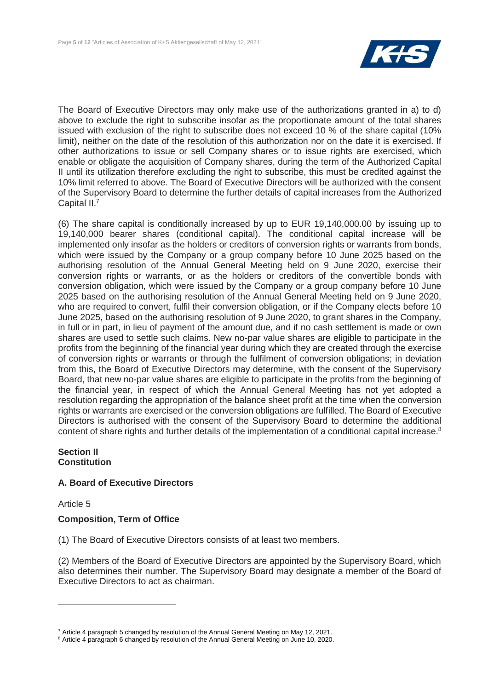

The Board of Executive Directors may only make use of the authorizations granted in a) to d) above to exclude the right to subscribe insofar as the proportionate amount of the total shares issued with exclusion of the right to subscribe does not exceed 10 % of the share capital (10% limit), neither on the date of the resolution of this authorization nor on the date it is exercised. If other authorizations to issue or sell Company shares or to issue rights are exercised, which enable or obligate the acquisition of Company shares, during the term of the Authorized Capital II until its utilization therefore excluding the right to subscribe, this must be credited against the 10% limit referred to above. The Board of Executive Directors will be authorized with the consent of the Supervisory Board to determine the further details of capital increases from the Authorized Capital II.<sup>7</sup>

(6) The share capital is conditionally increased by up to EUR 19,140,000.00 by issuing up to 19,140,000 bearer shares (conditional capital). The conditional capital increase will be implemented only insofar as the holders or creditors of conversion rights or warrants from bonds, which were issued by the Company or a group company before 10 June 2025 based on the authorising resolution of the Annual General Meeting held on 9 June 2020, exercise their conversion rights or warrants, or as the holders or creditors of the convertible bonds with conversion obligation, which were issued by the Company or a group company before 10 June 2025 based on the authorising resolution of the Annual General Meeting held on 9 June 2020, who are required to convert, fulfil their conversion obligation, or if the Company elects before 10 June 2025, based on the authorising resolution of 9 June 2020, to grant shares in the Company, in full or in part, in lieu of payment of the amount due, and if no cash settlement is made or own shares are used to settle such claims. New no-par value shares are eligible to participate in the profits from the beginning of the financial year during which they are created through the exercise of conversion rights or warrants or through the fulfilment of conversion obligations; in deviation from this, the Board of Executive Directors may determine, with the consent of the Supervisory Board, that new no-par value shares are eligible to participate in the profits from the beginning of the financial year, in respect of which the Annual General Meeting has not yet adopted a resolution regarding the appropriation of the balance sheet profit at the time when the conversion rights or warrants are exercised or the conversion obligations are fulfilled. The Board of Executive Directors is authorised with the consent of the Supervisory Board to determine the additional content of share rights and further details of the implementation of a conditional capital increase.<sup>8</sup>

## **Section II Constitution**

## **A. Board of Executive Directors**

Article 5

 $\overline{a}$ 

## **Composition, Term of Office**

(1) The Board of Executive Directors consists of at least two members.

(2) Members of the Board of Executive Directors are appointed by the Supervisory Board, which also determines their number. The Supervisory Board may designate a member of the Board of Executive Directors to act as chairman.

<sup>&</sup>lt;sup>7</sup> Article 4 paragraph 5 changed by resolution of the Annual General Meeting on May 12, 2021.

<sup>&</sup>lt;sup>8</sup> Article 4 paragraph 6 changed by resolution of the Annual General Meeting on June 10, 2020.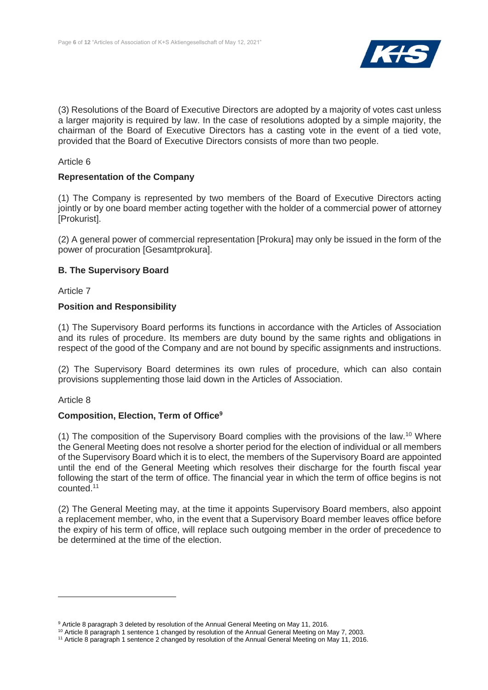

(3) Resolutions of the Board of Executive Directors are adopted by a majority of votes cast unless a larger majority is required by law. In the case of resolutions adopted by a simple majority, the chairman of the Board of Executive Directors has a casting vote in the event of a tied vote, provided that the Board of Executive Directors consists of more than two people.

## Article 6

## **Representation of the Company**

(1) The Company is represented by two members of the Board of Executive Directors acting jointly or by one board member acting together with the holder of a commercial power of attorney [Prokurist].

(2) A general power of commercial representation [Prokura] may only be issued in the form of the power of procuration [Gesamtprokura].

## **B. The Supervisory Board**

Article 7

## **Position and Responsibility**

(1) The Supervisory Board performs its functions in accordance with the Articles of Association and its rules of procedure. Its members are duty bound by the same rights and obligations in respect of the good of the Company and are not bound by specific assignments and instructions.

(2) The Supervisory Board determines its own rules of procedure, which can also contain provisions supplementing those laid down in the Articles of Association.

Article 8

## **Composition, Election, Term of Office<sup>9</sup>**

(1) The composition of the Supervisory Board complies with the provisions of the law.<sup>10</sup> Where the General Meeting does not resolve a shorter period for the election of individual or all members of the Supervisory Board which it is to elect, the members of the Supervisory Board are appointed until the end of the General Meeting which resolves their discharge for the fourth fiscal year following the start of the term of office. The financial year in which the term of office begins is not counted.<sup>11</sup>

(2) The General Meeting may, at the time it appoints Supervisory Board members, also appoint a replacement member, who, in the event that a Supervisory Board member leaves office before the expiry of his term of office, will replace such outgoing member in the order of precedence to be determined at the time of the election.

<sup>9</sup> Article 8 paragraph 3 deleted by resolution of the Annual General Meeting on May 11, 2016.

<sup>&</sup>lt;sup>10</sup> Article 8 paragraph 1 sentence 1 changed by resolution of the Annual General Meeting on May 7, 2003.

<sup>11</sup> Article 8 paragraph 1 sentence 2 changed by resolution of the Annual General Meeting on May 11, 2016.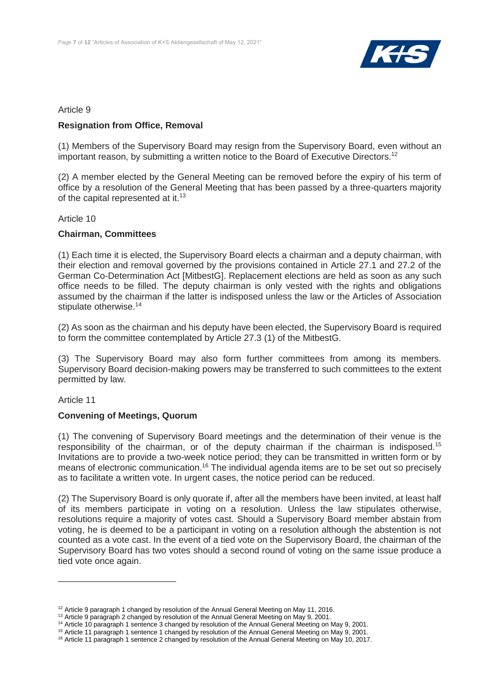

## Article 9

## **Resignation from Office, Removal**

(1) Members of the Supervisory Board may resign from the Supervisory Board, even without an important reason, by submitting a written notice to the Board of Executive Directors.<sup>12</sup>

(2) A member elected by the General Meeting can be removed before the expiry of his term of office by a resolution of the General Meeting that has been passed by a three-quarters majority of the capital represented at it.<sup>13</sup>

Article 10

## **Chairman, Committees**

(1) Each time it is elected, the Supervisory Board elects a chairman and a deputy chairman, with their election and removal governed by the provisions contained in Article 27.1 and 27.2 of the German Co-Determination Act [MitbestG]. Replacement elections are held as soon as any such office needs to be filled. The deputy chairman is only vested with the rights and obligations assumed by the chairman if the latter is indisposed unless the law or the Articles of Association stipulate otherwise.<sup>14</sup>

(2) As soon as the chairman and his deputy have been elected, the Supervisory Board is required to form the committee contemplated by Article 27.3 (1) of the MitbestG.

(3) The Supervisory Board may also form further committees from among its members. Supervisory Board decision-making powers may be transferred to such committees to the extent permitted by law.

## Article 11

## **Convening of Meetings, Quorum**

(1) The convening of Supervisory Board meetings and the determination of their venue is the responsibility of the chairman, or of the deputy chairman if the chairman is indisposed.<sup>15</sup> Invitations are to provide a two-week notice period; they can be transmitted in written form or by means of electronic communication.<sup>16</sup> The individual agenda items are to be set out so precisely as to facilitate a written vote. In urgent cases, the notice period can be reduced.

(2) The Supervisory Board is only quorate if, after all the members have been invited, at least half of its members participate in voting on a resolution. Unless the law stipulates otherwise, resolutions require a majority of votes cast. Should a Supervisory Board member abstain from voting, he is deemed to be a participant in voting on a resolution although the abstention is not counted as a vote cast. In the event of a tied vote on the Supervisory Board, the chairman of the Supervisory Board has two votes should a second round of voting on the same issue produce a tied vote once again.

 $12$  Article 9 paragraph 1 changed by resolution of the Annual General Meeting on May 11, 2016.

<sup>&</sup>lt;sup>13</sup> Article 9 paragraph 2 changed by resolution of the Annual General Meeting on May 9, 2001.

<sup>&</sup>lt;sup>14</sup> Article 10 paragraph 1 sentence 3 changed by resolution of the Annual General Meeting on May 9, 2001.

<sup>15</sup> Article 11 paragraph 1 sentence 1 changed by resolution of the Annual General Meeting on May 9, 2001.

<sup>&</sup>lt;sup>16</sup> Article 11 paragraph 1 sentence 2 changed by resolution of the Annual General Meeting on May 10, 2017.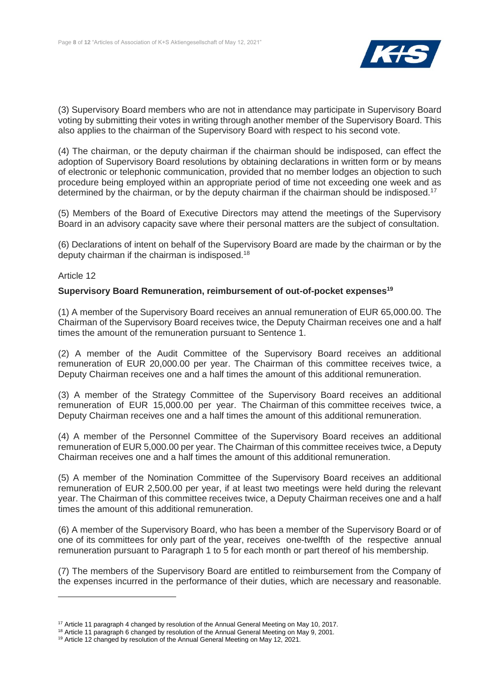

(3) Supervisory Board members who are not in attendance may participate in Supervisory Board voting by submitting their votes in writing through another member of the Supervisory Board. This also applies to the chairman of the Supervisory Board with respect to his second vote.

(4) The chairman, or the deputy chairman if the chairman should be indisposed, can effect the adoption of Supervisory Board resolutions by obtaining declarations in written form or by means of electronic or telephonic communication, provided that no member lodges an objection to such procedure being employed within an appropriate period of time not exceeding one week and as determined by the chairman, or by the deputy chairman if the chairman should be indisposed.<sup>17</sup>

(5) Members of the Board of Executive Directors may attend the meetings of the Supervisory Board in an advisory capacity save where their personal matters are the subject of consultation.

(6) Declarations of intent on behalf of the Supervisory Board are made by the chairman or by the deputy chairman if the chairman is indisposed.<sup>18</sup>

## Article 12

## **Supervisory Board Remuneration, reimbursement of out-of-pocket expenses<sup>19</sup>**

(1) A member of the Supervisory Board receives an annual remuneration of EUR 65,000.00. The Chairman of the Supervisory Board receives twice, the Deputy Chairman receives one and a half times the amount of the remuneration pursuant to Sentence 1.

(2) A member of the Audit Committee of the Supervisory Board receives an additional remuneration of EUR 20,000.00 per year. The Chairman of this committee receives twice, a Deputy Chairman receives one and a half times the amount of this additional remuneration.

(3) A member of the Strategy Committee of the Supervisory Board receives an additional remuneration of EUR 15,000.00 per year. The Chairman of this committee receives twice, a Deputy Chairman receives one and a half times the amount of this additional remuneration.

(4) A member of the Personnel Committee of the Supervisory Board receives an additional remuneration of EUR 5,000.00 per year. The Chairman of this committee receives twice, a Deputy Chairman receives one and a half times the amount of this additional remuneration.

(5) A member of the Nomination Committee of the Supervisory Board receives an additional remuneration of EUR 2,500.00 per year, if at least two meetings were held during the relevant year. The Chairman of this committee receives twice, a Deputy Chairman receives one and a half times the amount of this additional remuneration.

(6) A member of the Supervisory Board, who has been a member of the Supervisory Board or of one of its committees for only part of the year, receives one-twelfth of the respective annual remuneration pursuant to Paragraph 1 to 5 for each month or part thereof of his membership.

(7) The members of the Supervisory Board are entitled to reimbursement from the Company of the expenses incurred in the performance of their duties, which are necessary and reasonable.

<sup>&</sup>lt;sup>17</sup> Article 11 paragraph 4 changed by resolution of the Annual General Meeting on May 10, 2017.

<sup>&</sup>lt;sup>18</sup> Article 11 paragraph 6 changed by resolution of the Annual General Meeting on May 9, 2001.

<sup>&</sup>lt;sup>19</sup> Article 12 changed by resolution of the Annual General Meeting on May 12, 2021.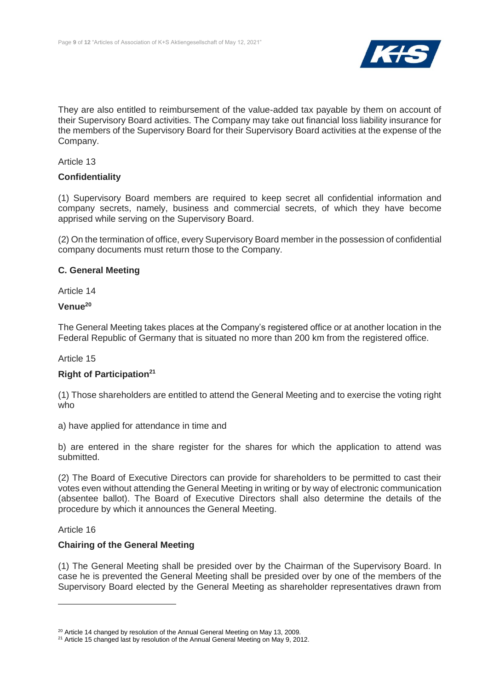

They are also entitled to reimbursement of the value-added tax payable by them on account of their Supervisory Board activities. The Company may take out financial loss liability insurance for the members of the Supervisory Board for their Supervisory Board activities at the expense of the Company.

Article 13

## **Confidentiality**

(1) Supervisory Board members are required to keep secret all confidential information and company secrets, namely, business and commercial secrets, of which they have become apprised while serving on the Supervisory Board.

(2) On the termination of office, every Supervisory Board member in the possession of confidential company documents must return those to the Company.

## **C. General Meeting**

Article 14

#### **Venue<sup>20</sup>**

The General Meeting takes places at the Company's registered office or at another location in the Federal Republic of Germany that is situated no more than 200 km from the registered office.

## Article 15

## **Right of Participation<sup>21</sup>**

(1) Those shareholders are entitled to attend the General Meeting and to exercise the voting right who

a) have applied for attendance in time and

b) are entered in the share register for the shares for which the application to attend was submitted.

(2) The Board of Executive Directors can provide for shareholders to be permitted to cast their votes even without attending the General Meeting in writing or by way of electronic communication (absentee ballot). The Board of Executive Directors shall also determine the details of the procedure by which it announces the General Meeting.

## Article 16

 $\overline{a}$ 

## **Chairing of the General Meeting**

(1) The General Meeting shall be presided over by the Chairman of the Supervisory Board. In case he is prevented the General Meeting shall be presided over by one of the members of the Supervisory Board elected by the General Meeting as shareholder representatives drawn from

<sup>&</sup>lt;sup>20</sup> Article 14 changed by resolution of the Annual General Meeting on May 13, 2009.

<sup>&</sup>lt;sup>21</sup> Article 15 changed last by resolution of the Annual General Meeting on May 9, 2012.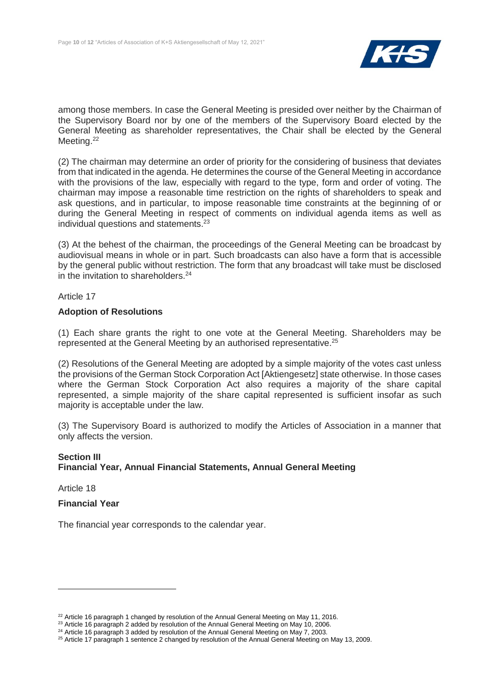

among those members. In case the General Meeting is presided over neither by the Chairman of the Supervisory Board nor by one of the members of the Supervisory Board elected by the General Meeting as shareholder representatives, the Chair shall be elected by the General Meeting.<sup>22</sup>

(2) The chairman may determine an order of priority for the considering of business that deviates from that indicated in the agenda. He determines the course of the General Meeting in accordance with the provisions of the law, especially with regard to the type, form and order of voting. The chairman may impose a reasonable time restriction on the rights of shareholders to speak and ask questions, and in particular, to impose reasonable time constraints at the beginning of or during the General Meeting in respect of comments on individual agenda items as well as individual questions and statements.<sup>23</sup>

(3) At the behest of the chairman, the proceedings of the General Meeting can be broadcast by audiovisual means in whole or in part. Such broadcasts can also have a form that is accessible by the general public without restriction. The form that any broadcast will take must be disclosed in the invitation to shareholders.<sup>24</sup>

Article 17

## **Adoption of Resolutions**

(1) Each share grants the right to one vote at the General Meeting. Shareholders may be represented at the General Meeting by an authorised representative.<sup>25</sup>

(2) Resolutions of the General Meeting are adopted by a simple majority of the votes cast unless the provisions of the German Stock Corporation Act [Aktiengesetz] state otherwise. In those cases where the German Stock Corporation Act also requires a majority of the share capital represented, a simple majority of the share capital represented is sufficient insofar as such majority is acceptable under the law.

(3) The Supervisory Board is authorized to modify the Articles of Association in a manner that only affects the version.

## **Section III Financial Year, Annual Financial Statements, Annual General Meeting**

Article 18

 $\overline{a}$ 

## **Financial Year**

The financial year corresponds to the calendar year.

 $22$  Article 16 paragraph 1 changed by resolution of the Annual General Meeting on May 11, 2016.

<sup>&</sup>lt;sup>23</sup> Article 16 paragraph 2 added by resolution of the Annual General Meeting on May 10, 2006.

<sup>&</sup>lt;sup>24</sup> Article 16 paragraph 3 added by resolution of the Annual General Meeting on May 7, 2003.

<sup>&</sup>lt;sup>25</sup> Article 17 paragraph 1 sentence 2 changed by resolution of the Annual General Meeting on May 13, 2009.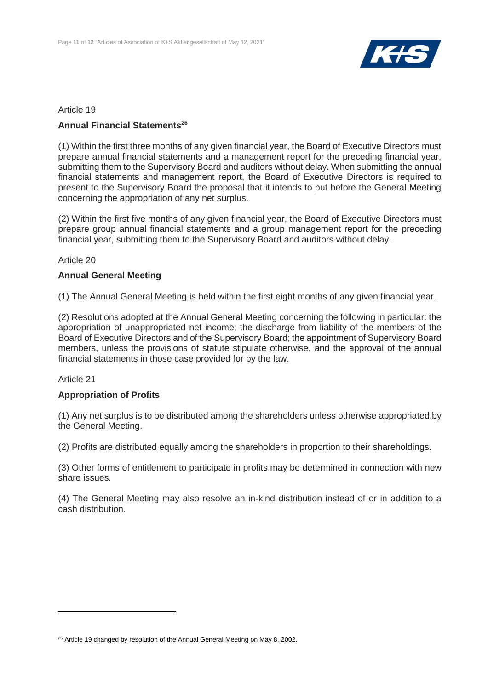

## Article 19

## **Annual Financial Statements<sup>26</sup>**

(1) Within the first three months of any given financial year, the Board of Executive Directors must prepare annual financial statements and a management report for the preceding financial year, submitting them to the Supervisory Board and auditors without delay. When submitting the annual financial statements and management report, the Board of Executive Directors is required to present to the Supervisory Board the proposal that it intends to put before the General Meeting concerning the appropriation of any net surplus.

(2) Within the first five months of any given financial year, the Board of Executive Directors must prepare group annual financial statements and a group management report for the preceding financial year, submitting them to the Supervisory Board and auditors without delay.

## Article 20

## **Annual General Meeting**

(1) The Annual General Meeting is held within the first eight months of any given financial year.

(2) Resolutions adopted at the Annual General Meeting concerning the following in particular: the appropriation of unappropriated net income; the discharge from liability of the members of the Board of Executive Directors and of the Supervisory Board; the appointment of Supervisory Board members, unless the provisions of statute stipulate otherwise, and the approval of the annual financial statements in those case provided for by the law.

## Article 21

## **Appropriation of Profits**

(1) Any net surplus is to be distributed among the shareholders unless otherwise appropriated by the General Meeting.

(2) Profits are distributed equally among the shareholders in proportion to their shareholdings.

(3) Other forms of entitlement to participate in profits may be determined in connection with new share issues.

(4) The General Meeting may also resolve an in-kind distribution instead of or in addition to a cash distribution.

 $26$  Article 19 changed by resolution of the Annual General Meeting on May 8, 2002.